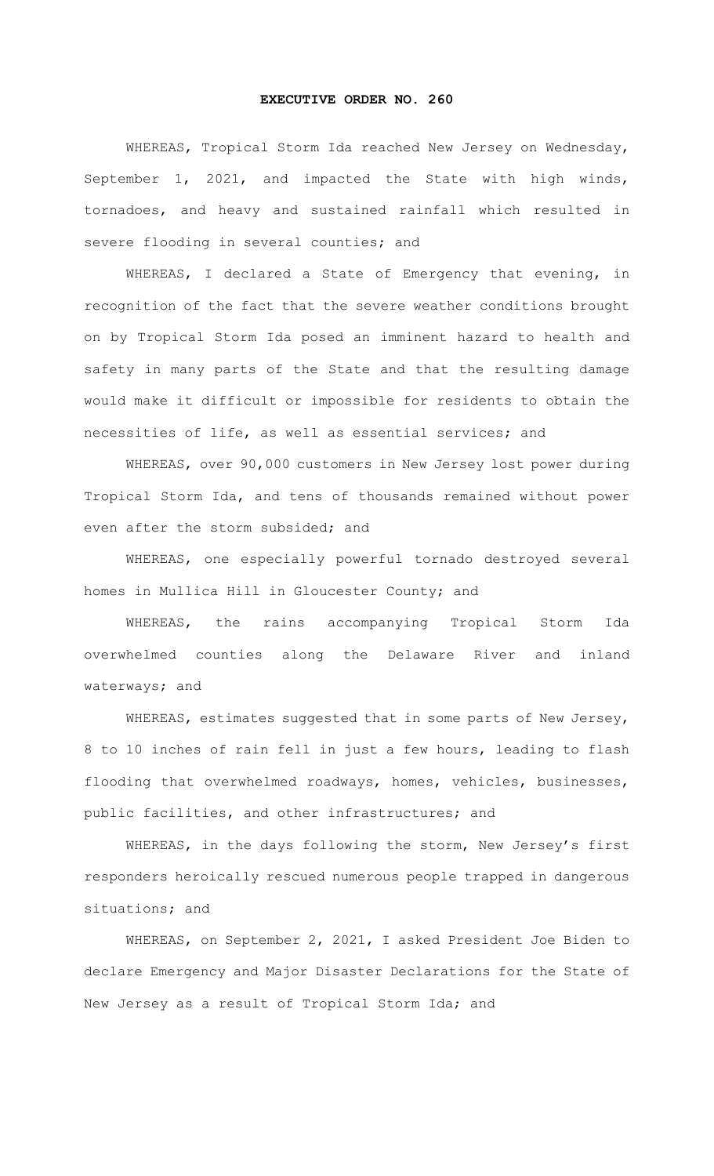## **EXECUTIVE ORDER NO. 260**

WHEREAS, Tropical Storm Ida reached New Jersey on Wednesday, September 1, 2021, and impacted the State with high winds, tornadoes, and heavy and sustained rainfall which resulted in severe flooding in several counties; and

WHEREAS, I declared a State of Emergency that evening, in recognition of the fact that the severe weather conditions brought on by Tropical Storm Ida posed an imminent hazard to health and safety in many parts of the State and that the resulting damage would make it difficult or impossible for residents to obtain the necessities of life, as well as essential services; and

WHEREAS, over 90,000 customers in New Jersey lost power during Tropical Storm Ida, and tens of thousands remained without power even after the storm subsided; and

WHEREAS, one especially powerful tornado destroyed several homes in Mullica Hill in Gloucester County; and

WHEREAS, the rains accompanying Tropical Storm Ida overwhelmed counties along the Delaware River and inland waterways; and

WHEREAS, estimates suggested that in some parts of New Jersey, 8 to 10 inches of rain fell in just a few hours, leading to flash flooding that overwhelmed roadways, homes, vehicles, businesses, public facilities, and other infrastructures; and

WHEREAS, in the days following the storm, New Jersey's first responders heroically rescued numerous people trapped in dangerous situations; and

WHEREAS, on September 2, 2021, I asked President Joe Biden to declare Emergency and Major Disaster Declarations for the State of New Jersey as a result of Tropical Storm Ida; and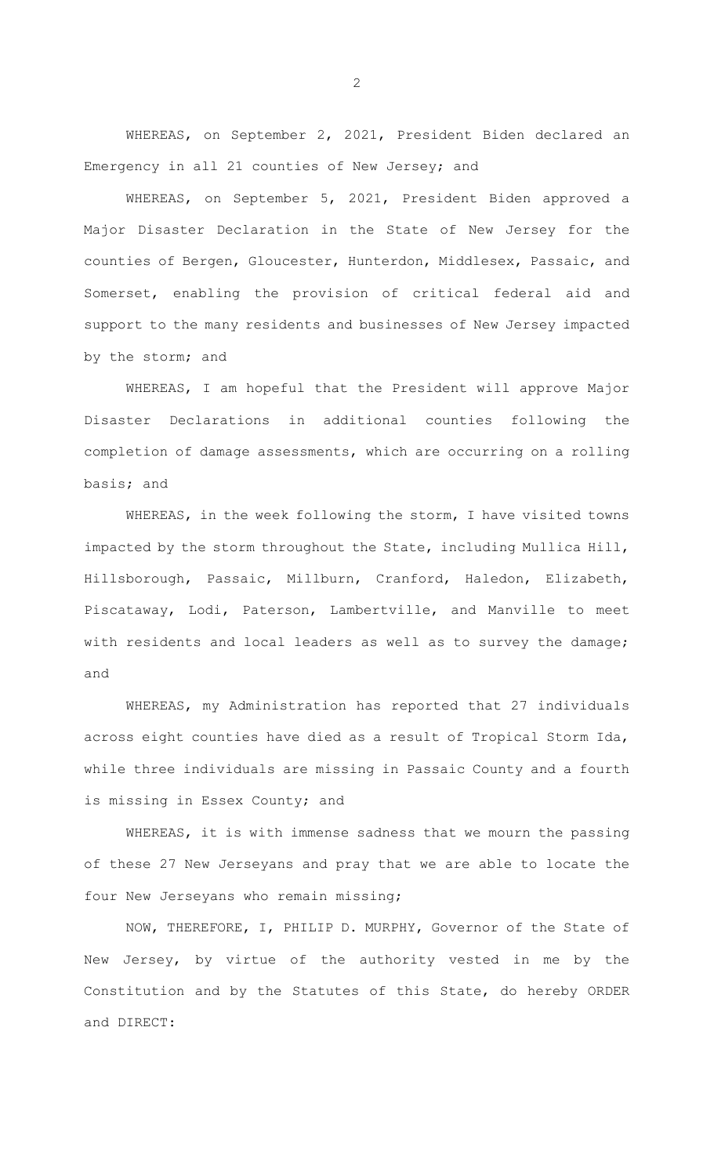WHEREAS, on September 2, 2021, President Biden declared an Emergency in all 21 counties of New Jersey; and

WHEREAS, on September 5, 2021, President Biden approved a Major Disaster Declaration in the State of New Jersey for the counties of Bergen, Gloucester, Hunterdon, Middlesex, Passaic, and Somerset, enabling the provision of critical federal aid and support to the many residents and businesses of New Jersey impacted by the storm; and

WHEREAS, I am hopeful that the President will approve Major Disaster Declarations in additional counties following the completion of damage assessments, which are occurring on a rolling basis; and

WHEREAS, in the week following the storm, I have visited towns impacted by the storm throughout the State, including Mullica Hill, Hillsborough, Passaic, Millburn, Cranford, Haledon, Elizabeth, Piscataway, Lodi, Paterson, Lambertville, and Manville to meet with residents and local leaders as well as to survey the damage; and

WHEREAS, my Administration has reported that 27 individuals across eight counties have died as a result of Tropical Storm Ida, while three individuals are missing in Passaic County and a fourth is missing in Essex County; and

WHEREAS, it is with immense sadness that we mourn the passing of these 27 New Jerseyans and pray that we are able to locate the four New Jerseyans who remain missing;

 NOW, THEREFORE, I, PHILIP D. MURPHY, Governor of the State of New Jersey, by virtue of the authority vested in me by the Constitution and by the Statutes of this State, do hereby ORDER and DIRECT:

2